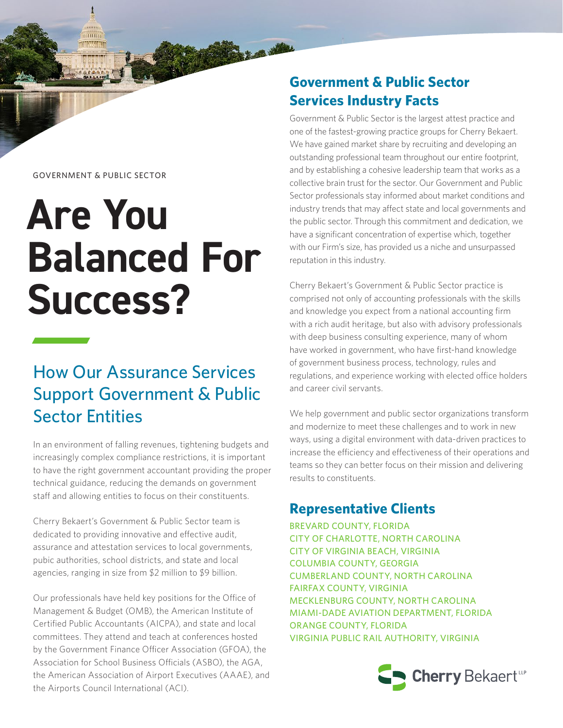#### GOVERNMENT & PUBLIC SECTOR

 $\overline{m}$ 

# **Are You Balanced For Success?**

## How Our Assurance Services Support Government & Public Sector Entities

In an environment of falling revenues, tightening budgets and increasingly complex compliance restrictions, it is important to have the right government accountant providing the proper technical guidance, reducing the demands on government staff and allowing entities to focus on their constituents.

Cherry Bekaert's Government & Public Sector team is dedicated to providing innovative and effective audit, assurance and attestation services to local governments, pubic authorities, school districts, and state and local agencies, ranging in size from \$2 million to \$9 billion.

Our professionals have held key positions for the Office of Management & Budget (OMB), the American Institute of Certified Public Accountants (AICPA), and state and local committees. They attend and teach at conferences hosted by the Government Finance Officer Association (GFOA), the Association for School Business Officials (ASBO), the AGA, the American Association of Airport Executives (AAAE), and the Airports Council International (ACI).

## **Government & Public Sector Services Industry Facts**

**Magelli** 

Government & Public Sector is the largest attest practice and one of the fastest-growing practice groups for Cherry Bekaert. We have gained market share by recruiting and developing an outstanding professional team throughout our entire footprint, and by establishing a cohesive leadership team that works as a collective brain trust for the sector. Our Government and Public Sector professionals stay informed about market conditions and industry trends that may affect state and local governments and the public sector. Through this commitment and dedication, we have a significant concentration of expertise which, together with our Firm's size, has provided us a niche and unsurpassed reputation in this industry.

Cherry Bekaert's Government & Public Sector practice is comprised not only of accounting professionals with the skills and knowledge you expect from a national accounting firm with a rich audit heritage, but also with advisory professionals with deep business consulting experience, many of whom have worked in government, who have first-hand knowledge of government business process, technology, rules and regulations, and experience working with elected office holders and career civil servants.

We help government and public sector organizations transform and modernize to meet these challenges and to work in new ways, using a digital environment with data-driven practices to increase the efficiency and effectiveness of their operations and teams so they can better focus on their mission and delivering results to constituents.

### **Representative Clients**

BREVARD COUNTY, FLORIDA CITY OF CHARLOTTE, NORTH CAROLINA CITY OF VIRGINIA BEACH, VIRGINIA COLUMBIA COUNTY, GEORGIA CUMBERLAND COUNTY, NORTH CAROLINA FAIRFAX COUNTY, VIRGINIA MECKLENBURG COUNTY, NORTH CAROLINA MIAMI-DADE AVIATION DEPARTMENT, FLORIDA ORANGE COUNTY, FLORIDA VIRGINIA PUBLIC RAIL AUTHORITY, VIRGINIA